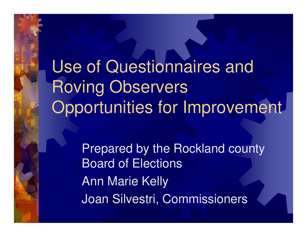Use of Questionnaires and Roving Observers Opportunities for Improvement

> Prepared by the Rockland county Board of ElectionsAnn Marie KellyJoan Silvestri, Commissioners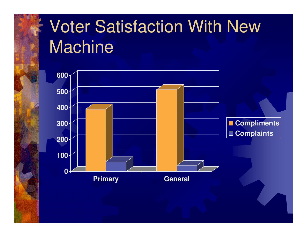# Voter Satisfaction With New **Machine**

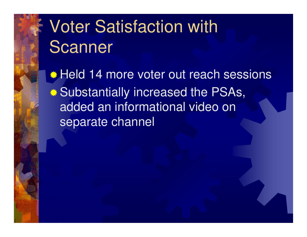# Voter Satisfaction with Scanner

Held 14 more voter out reach sessions **. Substantially increased the PSAs,** added an informational video on separate channel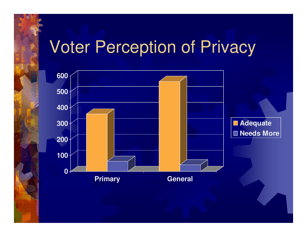### Voter Perception of Privacy

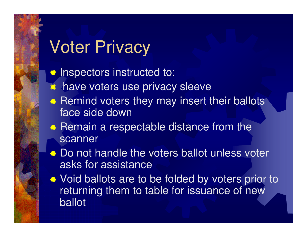# Voter Privacy

**Inspectors instructed to:** 

- 养 have voters use privacy sleeve
- **Remind voters they may insert their ballots** face side down
- **Remain a respectable distance from the aggregate** scanner
- Do not handle the voters ballot unless voter asks for assistance
- Void ballots are to be folded by voters prior to returning them to table for issuance of new ballot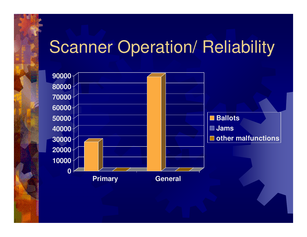### **Scanner Operation/ Reliability**

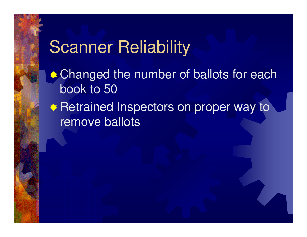#### Scanner Reliability

- **\*\*** Changed the number of ballots for each book to 50
- **\*\* Retrained Inspectors on proper way to** remove ballots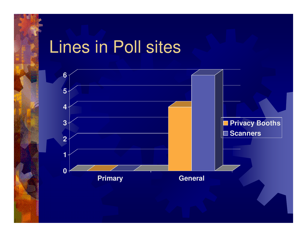### Lines in Poll sites

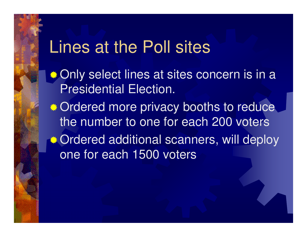#### Lines at the Poll sites

- **<b>
•• Only select lines at sites concern is in a** Presidential Election.
- **Ordered more privacy booths to reduce** the number to one for each 200 voters**■ Ordered additional scanners, will deploy** one for each 1500 voters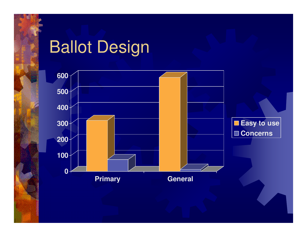### Ballot Design

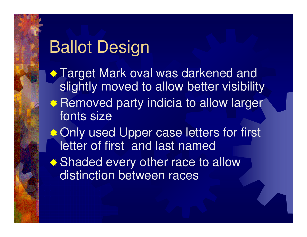# Ballot Design

 $\bullet$  **Target Mark oval was darkened and**  slightly moved to allow better visibility**• Removed party indicia to allow larger** fonts size**.\* Only used Upper case letters for first** letter of first and last named**• Shaded every other race to allow** distinction between races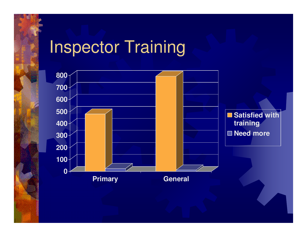# Inspector Training